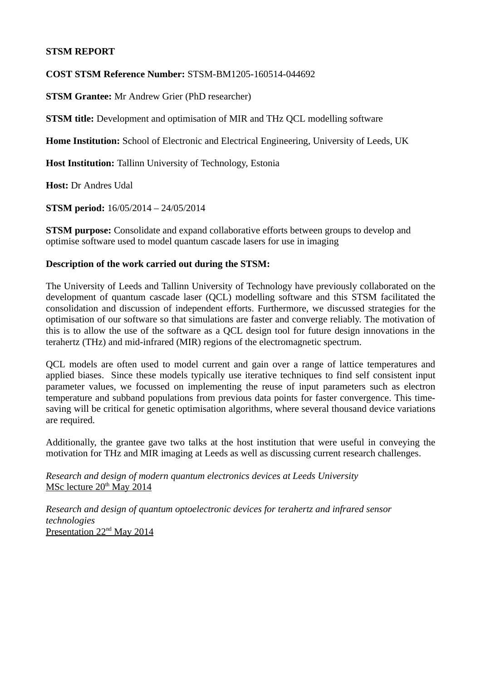# **STSM REPORT**

# **COST STSM Reference Number:** STSM-BM1205-160514-044692

**STSM Grantee:** Mr Andrew Grier (PhD researcher)

**STSM title:** Development and optimisation of MIR and THz QCL modelling software

**Home Institution:** School of Electronic and Electrical Engineering, University of Leeds, UK

**Host Institution:** Tallinn University of Technology, Estonia

**Host:** Dr Andres Udal

**STSM period:** 16/05/2014 – 24/05/2014

**STSM purpose:** Consolidate and expand collaborative efforts between groups to develop and optimise software used to model quantum cascade lasers for use in imaging

# **Description of the work carried out during the STSM:**

The University of Leeds and Tallinn University of Technology have previously collaborated on the development of quantum cascade laser (QCL) modelling software and this STSM facilitated the consolidation and discussion of independent efforts. Furthermore, we discussed strategies for the optimisation of our software so that simulations are faster and converge reliably. The motivation of this is to allow the use of the software as a QCL design tool for future design innovations in the terahertz (THz) and mid-infrared (MIR) regions of the electromagnetic spectrum.

QCL models are often used to model current and gain over a range of lattice temperatures and applied biases. Since these models typically use iterative techniques to find self consistent input parameter values, we focussed on implementing the reuse of input parameters such as electron temperature and subband populations from previous data points for faster convergence. This timesaving will be critical for genetic optimisation algorithms, where several thousand device variations are required.

Additionally, the grantee gave two talks at the host institution that were useful in conveying the motivation for THz and MIR imaging at Leeds as well as discussing current research challenges.

*Research and design of modern quantum electronics devices at Leeds University* MSc lecture 20<sup>th</sup> May 2014

*Research and design of quantum optoelectronic devices for terahertz and infrared sensor technologies* Presentation 22<sup>nd</sup> May 2014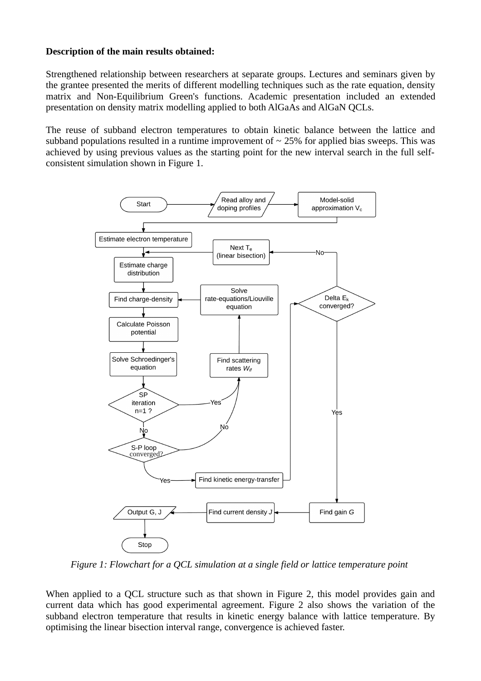## **Description of the main results obtained:**

Strengthened relationship between researchers at separate groups. Lectures and seminars given by the grantee presented the merits of different modelling techniques such as the rate equation, density matrix and Non-Equilibrium Green's functions. Academic presentation included an extended presentation on density matrix modelling applied to both AlGaAs and AlGaN QCLs.

The reuse of subband electron temperatures to obtain kinetic balance between the lattice and subband populations resulted in a runtime improvement of  $\sim$  25% for applied bias sweeps. This was achieved by using previous values as the starting point for the new interval search in the full selfconsistent simulation shown in Figure 1.



*Figure 1: Flowchart for a QCL simulation at a single field or lattice temperature point*

When applied to a QCL structure such as that shown in Figure 2, this model provides gain and current data which has good experimental agreement. Figure 2 also shows the variation of the subband electron temperature that results in kinetic energy balance with lattice temperature. By optimising the linear bisection interval range, convergence is achieved faster.